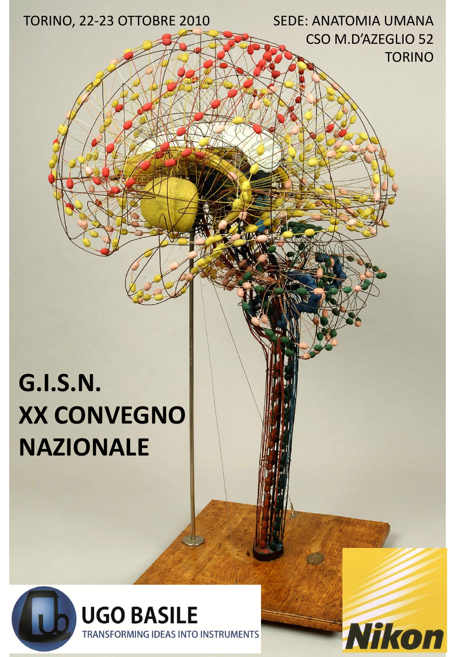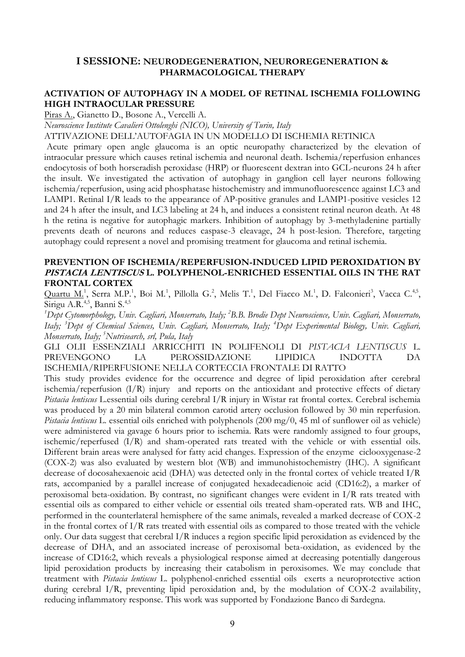# **I SESSIONE: NEURODEGENERATION, NEUROREGENERATION & PHARMACOLOGICAL THERAPY**

# **ACTIVATION OF AUTOPHAGY IN A MODEL OF RETINAL ISCHEMIA FOLLOWING HIGH INTRAOCULAR PRESSURE**

Piras A., Gianetto D., Bosone A., Vercelli A.

*Neuroscience Institute Cavalieri Ottolenghi (NICO), University of Turin, Italy*

ATTIVAZIONE DELL"AUTOFAGIA IN UN MODELLO DI ISCHEMIA RETINICA

Acute primary open angle glaucoma is an optic neuropathy characterized by the elevation of intraocular pressure which causes retinal ischemia and neuronal death. Ischemia/reperfusion enhances endocytosis of both horseradish peroxidase (HRP) or fluorescent dextran into GCL-neurons 24 h after the insult. We investigated the activation of autophagy in ganglion cell layer neurons following ischemia/reperfusion, using acid phosphatase histochemistry and immunofluorescence against LC3 and LAMP1. Retinal I/R leads to the appearance of AP-positive granules and LAMP1-positive vesicles 12 and 24 h after the insult, and LC3 labeling at 24 h, and induces a consistent retinal neuron death. At 48 h the retina is negative for autophagic markers. Inhibition of autophagy by 3-methyladenine partially prevents death of neurons and reduces caspase-3 cleavage, 24 h post-lesion. Therefore, targeting autophagy could represent a novel and promising treatment for glaucoma and retinal ischemia.

#### **PREVENTION OF ISCHEMIA/REPERFUSION-INDUCED LIPID PEROXIDATION BY PISTACIA LENTISCUS L. POLYPHENOL-ENRICHED ESSENTIAL OILS IN THE RAT FRONTAL CORTEX**

Quartu M.<sup>1</sup>, Serra M.P.<sup>1</sup>, Boi M.<sup>1</sup>, Pillolla G.<sup>2</sup>, Melis T.<sup>1</sup>, Del Fiacco M.<sup>1</sup>, D. Falconieri<sup>3</sup>, Vacca C.<sup>4,5</sup>, Sirigu A.R.<sup>4,5</sup>, Banni S.<sup>4,5</sup>

<sup>1</sup>Dept Cytomorphology, Univ. Cagliari, Monserrato, Italy; <sup>2</sup>B.B. Brodie Dept Neuroscience, Univ. Cagliari, Monserrato, *Italy; 3 Dept of Chemical Sciences, Univ. Cagliari, Monserrato, Italy; 4 Dept Experimental Biology, Univ. Cagliari, Monserrato, Italy; 5 Nutrisearch, srl, Pula, Italy*

GLI OLII ESSENZIALI ARRICCHITI IN POLIFENOLI DI *PISTACIA LENTISCUS* L. PREVENGONO LA PEROSSIDAZIONE LIPIDICA INDOTTA DA ISCHEMIA/RIPERFUSIONE NELLA CORTECCIA FRONTALE DI RATTO

This study provides evidence for the occurrence and degree of lipid peroxidation after cerebral ischemia/reperfusion (I/R) injury and reports on the antioxidant and protective effects of dietary *Pistacia lentiscus* L.essential oils during cerebral I/R injury in Wistar rat frontal cortex. Cerebral ischemia was produced by a 20 min bilateral common carotid artery occlusion followed by 30 min reperfusion. *Pistacia lentiscus* L. essential oils enriched with polyphenols (200 mg/0, 45 ml of sunflower oil as vehicle) were administered via gavage 6 hours prior to ischemia. Rats were randomly assigned to four groups, ischemic/reperfused (I/R) and sham-operated rats treated with the vehicle or with essential oils. Different brain areas were analysed for fatty acid changes. Expression of the enzyme ciclooxygenase-2 (COX-2) was also evaluated by western blot (WB) and immunohistochemistry (IHC). A significant decrease of docosahexaenoic acid (DHA) was detected only in the frontal cortex of vehicle treated I/R rats, accompanied by a parallel increase of conjugated hexadecadienoic acid (CD16:2), a marker of peroxisomal beta-oxidation. By contrast, no significant changes were evident in I/R rats treated with essential oils as compared to either vehicle or essential oils treated sham-operated rats. WB and IHC, performed in the counterlateral hemisphere of the same animals, revealed a marked decrease of COX-2 in the frontal cortex of I/R rats treated with essential oils as compared to those treated with the vehicle only. Our data suggest that cerebral  $I/R$  induces a region specific lipid peroxidation as evidenced by the decrease of DHA, and an associated increase of peroxisomal beta-oxidation, as evidenced by the increase of CD16:2, which reveals a physiological response aimed at decreasing potentially dangerous lipid peroxidation products by increasing their catabolism in peroxisomes. We may conclude that treatment with *Pistacia lentiscus* L. polyphenol-enriched essential oils exerts a neuroprotective action during cerebral I/R, preventing lipid peroxidation and, by the modulation of COX-2 availability, reducing inflammatory response. This work was supported by Fondazione Banco di Sardegna.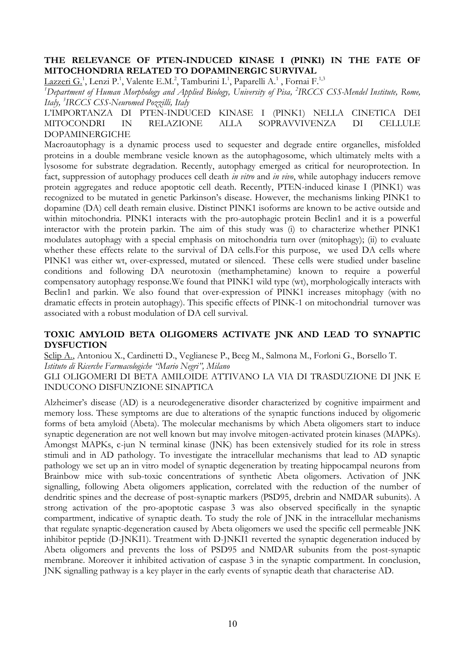## **THE RELEVANCE OF PTEN-INDUCED KINASE I (PINK1) IN THE FATE OF MITOCHONDRIA RELATED TO DOPAMINERGIC SURVIVAL**

 $\underline{\text{Lazzen G.}}^1$ , Lenzi P.<sup>1</sup>, Valente E.M.<sup>2</sup>, Tamburini I.<sup>1</sup>, Paparelli A.<sup>1</sup> , Fornai F.<sup>1,3</sup>

<sup>1</sup>Department of Human Morphology and Applied Biology, University of Pisa, <sup>2</sup>IRCCS CSS-Mendel Institute, Rome, *Italy, 3 IRCCS CSS-Neuromed Pozzilli, Italy*

L"IMPORTANZA DI PTEN-INDUCED KINASE I (PINK1) NELLA CINETICA DEI MITOCONDRI IN RELAZIONE ALLA SOPRAVVIVENZA DI CELLULE DOPAMINERGICHE

Macroautophagy is a dynamic process used to sequester and degrade entire organelles, misfolded proteins in a double membrane vesicle known as the autophagosome, which ultimately melts with a lysosome for substrate degradation. Recently, autophagy emerged as critical for neuroprotection. In fact, suppression of autophagy produces cell death *in vitro* and *in vivo*, while autophagy inducers remove protein aggregates and reduce apoptotic cell death. Recently, PTEN-induced kinase I (PINK1) was recognized to be mutated in genetic Parkinson's disease. However, the mechanisms linking PINK1 to dopamine (DA) cell death remain elusive. Distinct PINK1 isoforms are known to be active outside and within mitochondria. PINK1 interacts with the pro-autophagic protein Beclin1 and it is a powerful interactor with the protein parkin. The aim of this study was (i) to characterize whether PINK1 modulates autophagy with a special emphasis on mitochondria turn over (mitophagy); (ii) to evaluate whether these effects relate to the survival of DA cells. For this purpose, we used DA cells where PINK1 was either wt, over-expressed, mutated or silenced. These cells were studied under baseline conditions and following DA neurotoxin (methamphetamine) known to require a powerful compensatory autophagy response.We found that PINK1 wild type (wt), morphologically interacts with Beclin1 and parkin. We also found that over-expression of PINK1 increases mitophagy (with no dramatic effects in protein autophagy). This specific effects of PINK-1 on mitochondrial turnover was associated with a robust modulation of DA cell survival.

# **TOXIC AMYLOID BETA OLIGOMERS ACTIVATE JNK AND LEAD TO SYNAPTIC DYSFUCTION**

Sclip A., Antoniou X., Cardinetti D., Veglianese P., Beeg M., Salmona M., Forloni G., Borsello T. *Istituto di Ricerche Farmacologiche "Mario Negri", Milano* 

GLI OLIGOMERI DI BETA AMILOIDE ATTIVANO LA VIA DI TRASDUZIONE DI JNK E INDUCONO DISFUNZIONE SINAPTICA

Alzheimer"s disease (AD) is a neurodegenerative disorder characterized by cognitive impairment and memory loss. These symptoms are due to alterations of the synaptic functions induced by oligomeric forms of beta amyloid (Abeta). The molecular mechanisms by which Abeta oligomers start to induce synaptic degeneration are not well known but may involve mitogen-activated protein kinases (MAPKs). Amongst MAPKs, c-jun N terminal kinase (JNK) has been extensively studied for its role in stress stimuli and in AD pathology. To investigate the intracellular mechanisms that lead to AD synaptic pathology we set up an in vitro model of synaptic degeneration by treating hippocampal neurons from Brainbow mice with sub-toxic concentrations of synthetic Abeta oligomers. Activation of JNK signalling, following Abeta oligomers application, correlated with the reduction of the number of dendritic spines and the decrease of post-synaptic markers (PSD95, drebrin and NMDAR subunits). A strong activation of the pro-apoptotic caspase 3 was also observed specifically in the synaptic compartment, indicative of synaptic death. To study the role of JNK in the intracellular mechanisms that regulate synaptic-degeneration caused by Abeta oligomers we used the specific cell permeable JNK inhibitor peptide (D-JNKI1). Treatment with D-JNKI1 reverted the synaptic degeneration induced by Abeta oligomers and prevents the loss of PSD95 and NMDAR subunits from the post-synaptic membrane. Moreover it inhibited activation of caspase 3 in the synaptic compartment. In conclusion, JNK signalling pathway is a key player in the early events of synaptic death that characterise AD.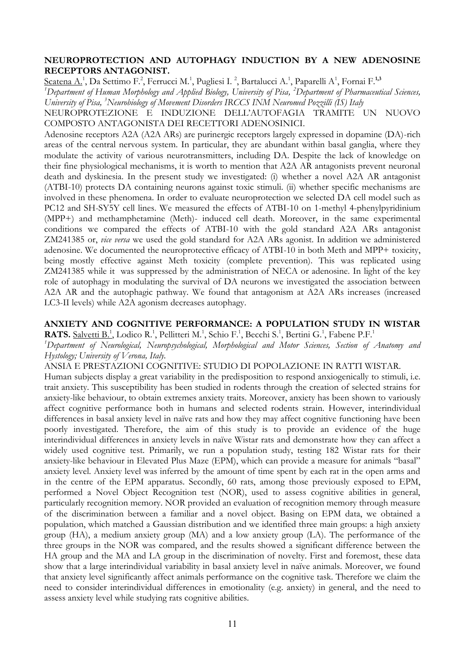# **NEUROPROTECTION AND AUTOPHAGY INDUCTION BY A NEW ADENOSINE RECEPTORS ANTAGONIST.**

Scatena A.<sup>1</sup>, Da Settimo F.<sup>2</sup>, Ferrucci M.<sup>1</sup>, Pugliesi I. <sup>2</sup>, Bartalucci A.<sup>1</sup>, Paparelli A<sup>1</sup>, Fornai F.<sup>1,3</sup> *1 Department of Human Morphology and Applied Biology, University of Pisa, 2 Department of Pharmaceutical Sciences, University of Pisa, 3 Neurobiology of Movement Disorders IRCCS INM Neuromed Pozzilli (IS) Italy*

NEUROPROTEZIONE E INDUZIONE DELL"AUTOFAGIA TRAMITE UN NUOVO COMPOSTO ANTAGONISTA DEI RECETTORI ADENOSINICI.

Adenosine receptors A2A (A2A ARs) are purinergic receptors largely expressed in dopamine (DA)-rich areas of the central nervous system. In particular, they are abundant within basal ganglia, where they modulate the activity of various neurotransmitters, including DA. Despite the lack of knowledge on their fine physiological mechanisms, it is worth to mention that A2A AR antagonists prevent neuronal death and dyskinesia. In the present study we investigated: (i) whether a novel A2A AR antagonist (ATBI-10) protects DA containing neurons against toxic stimuli. (ii) whether specific mechanisms are involved in these phenomena. In order to evaluate neuroprotection we selected DA cell model such as PC12 and SH-SY5Y cell lines. We measured the effects of ATBI-10 on 1-methyl 4-phenylpyridinium (MPP+) and methamphetamine (Meth)- induced cell death. Moreover, in the same experimental conditions we compared the effects of ATBI-10 with the gold standard A2A ARs antagonist ZM241385 or, *vice versa* we used the gold standard for A2A ARs agonist. In addition we administered adenosine. We documented the neuroprotective efficacy of ATBI-10 in both Meth and MPP+ toxicity, being mostly effective against Meth toxicity (complete prevention). This was replicated using ZM241385 while it was suppressed by the administration of NECA or adenosine. In light of the key role of autophagy in modulating the survival of DA neurons we investigated the association between A2A AR and the autophagic pathway. We found that antagonism at A2A ARs increases (increased LC3-II levels) while A2A agonism decreases autophagy.

### **ANXIETY AND COGNITIVE PERFORMANCE: A POPULATION STUDY IN WISTAR**

RATS. Salvetti B.<sup>1</sup>, Lodico R.<sup>1</sup>, Pellitteri M.<sup>1</sup>, Schio F.<sup>1</sup>, Becchi S.<sup>1</sup>, Bertini G.<sup>1</sup>, Fabene P.F.<sup>1</sup>

*1 Department of Neurological, Neuropsychological, Morphological and Motor Sciences, Section of Anatomy and Hystology; University of Verona, Italy.*

ANSIA E PRESTAZIONI COGNITIVE: STUDIO DI POPOLAZIONE IN RATTI WISTAR.

Human subjects display a great variability in the predisposition to respond anxiogenically to stimuli, i.e. trait anxiety. This susceptibility has been studied in rodents through the creation of selected strains for anxiety-like behaviour, to obtain extremes anxiety traits. Moreover, anxiety has been shown to variously affect cognitive performance both in humans and selected rodents strain. However, interindividual differences in basal anxiety level in naïve rats and how they may affect cognitive functioning have been poorly investigated. Therefore, the aim of this study is to provide an evidence of the huge interindividual differences in anxiety levels in naïve Wistar rats and demonstrate how they can affect a widely used cognitive test. Primarily, we run a population study, testing 182 Wistar rats for their anxiety-like behaviour in Elevated Plus Maze (EPM), which can provide a measure for animals "basal" anxiety level. Anxiety level was inferred by the amount of time spent by each rat in the open arms and in the centre of the EPM apparatus. Secondly, 60 rats, among those previously exposed to EPM, performed a Novel Object Recognition test (NOR), used to assess cognitive abilities in general, particularly recognition memory. NOR provided an evaluation of recognition memory through measure of the discrimination between a familiar and a novel object. Basing on EPM data, we obtained a population, which matched a Gaussian distribution and we identified three main groups: a high anxiety group (HA), a medium anxiety group (MA) and a low anxiety group (LA). The performance of the three groups in the NOR was compared, and the results showed a significant difference between the HA group and the MA and LA group in the discrimination of novelty. First and foremost, these data show that a large interindividual variability in basal anxiety level in naïve animals. Moreover, we found that anxiety level significantly affect animals performance on the cognitive task. Therefore we claim the need to consider interindividual differences in emotionality (e.g. anxiety) in general, and the need to assess anxiety level while studying rats cognitive abilities.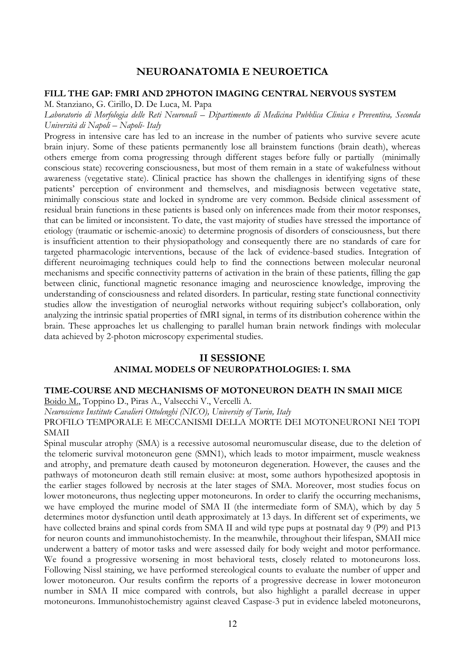## **NEUROANATOMIA E NEUROETICA**

#### **FILL THE GAP: FMRI AND 2PHOTON IMAGING CENTRAL NERVOUS SYSTEM**

M. Stanziano, G. Cirillo, D. De Luca, M. Papa

*Laboratorio di Morfologia delle Reti Neuronali – Dipartimento di Medicina Pubblica Clinica e Preventiva, Seconda Università di Napoli – Napoli- Italy*

Progress in intensive care has led to an increase in the number of patients who survive severe acute brain injury. Some of these patients permanently lose all brainstem functions (brain death), whereas others emerge from coma progressing through different stages before fully or partially (minimally conscious state) recovering consciousness, but most of them remain in a state of wakefulness without awareness (vegetative state). Clinical practice has shown the challenges in identifying signs of these patients" perception of environment and themselves, and misdiagnosis between vegetative state, minimally conscious state and locked in syndrome are very common. Bedside clinical assessment of residual brain functions in these patients is based only on inferences made from their motor responses, that can be limited or inconsistent. To date, the vast majority of studies have stressed the importance of etiology (traumatic or ischemic-anoxic) to determine prognosis of disorders of consciousness, but there is insufficient attention to their physiopathology and consequently there are no standards of care for targeted pharmacologic interventions, because of the lack of evidence-based studies. Integration of different neuroimaging techniques could help to find the connections between molecular neuronal mechanisms and specific connectivity patterns of activation in the brain of these patients, filling the gap between clinic, functional magnetic resonance imaging and neuroscience knowledge, improving the understanding of consciousness and related disorders. In particular, resting state functional connectivity studies allow the investigation of neuroglial networks without requiring subject's collaboration, only analyzing the intrinsic spatial properties of fMRI signal, in terms of its distribution coherence within the brain. These approaches let us challenging to parallel human brain network findings with molecular data achieved by 2-photon microscopy experimental studies.

# **II SESSIONE ANIMAL MODELS OF NEUROPATHOLOGIES: I. SMA**

#### **TIME-COURSE AND MECHANISMS OF MOTONEURON DEATH IN SMAII MICE**

Boido M., Toppino D., Piras A., Valsecchi V., Vercelli A.

*Neuroscience Institute Cavalieri Ottolenghi (NICO), University of Turin, Italy*

PROFILO TEMPORALE E MECCANISMI DELLA MORTE DEI MOTONEURONI NEI TOPI SMAII

Spinal muscular atrophy (SMA) is a recessive autosomal neuromuscular disease, due to the deletion of the telomeric survival motoneuron gene (SMN1), which leads to motor impairment, muscle weakness and atrophy, and premature death caused by motoneuron degeneration. However, the causes and the pathways of motoneuron death still remain elusive: at most, some authors hypothesized apoptosis in the earlier stages followed by necrosis at the later stages of SMA. Moreover, most studies focus on lower motoneurons, thus neglecting upper motoneurons. In order to clarify the occurring mechanisms, we have employed the murine model of SMA II (the intermediate form of SMA), which by day 5 determines motor dysfunction until death approximately at 13 days. In different set of experiments, we have collected brains and spinal cords from SMA II and wild type pups at postnatal day 9 (P9) and P13 for neuron counts and immunohistochemisty. In the meanwhile, throughout their lifespan, SMAII mice underwent a battery of motor tasks and were assessed daily for body weight and motor performance. We found a progressive worsening in most behavioral tests, closely related to motoneurons loss. Following Nissl staining, we have performed stereological counts to evaluate the number of upper and lower motoneuron. Our results confirm the reports of a progressive decrease in lower motoneuron number in SMA II mice compared with controls, but also highlight a parallel decrease in upper motoneurons. Immunohistochemistry against cleaved Caspase-3 put in evidence labeled motoneurons,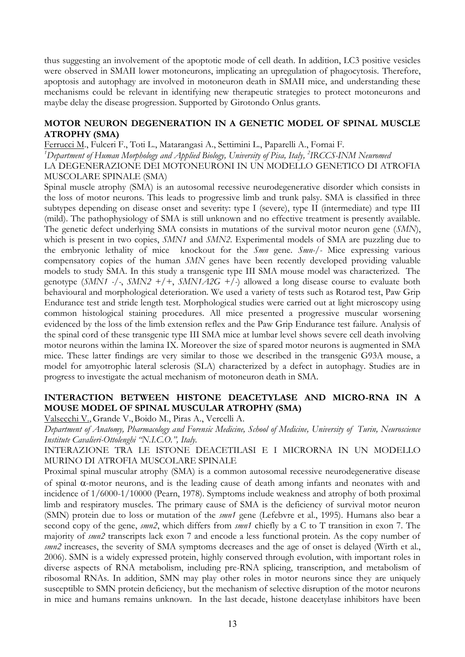thus suggesting an involvement of the apoptotic mode of cell death. In addition, LC3 positive vesicles were observed in SMAII lower motoneurons, implicating an upregulation of phagocytosis. Therefore, apoptosis and autophagy are involved in motoneuron death in SMAII mice, and understanding these mechanisms could be relevant in identifying new therapeutic strategies to protect motoneurons and maybe delay the disease progression. Supported by Girotondo Onlus grants.

## **MOTOR NEURON DEGENERATION IN A GENETIC MODEL OF SPINAL MUSCLE ATROPHY (SMA)**

Ferrucci M., Fulceri F., Toti L., Matarangasi A., Settimini L., Paparelli A., Fornai F.

*1 Department of Human Morphology and Applied Biology, University of Pisa, Italy, 2 IRCCS-INM Neuromed*

LA DEGENERAZIONE DEI MOTONEURONI IN UN MODELLO GENETICO DI ATROFIA MUSCOLARE SPINALE (SMA)

Spinal muscle atrophy (SMA) is an autosomal recessive neurodegenerative disorder which consists in the loss of motor neurons. This leads to progressive limb and trunk palsy. SMA is classified in three subtypes depending on disease onset and severity: type I (severe), type II (intermediate) and type III (mild). The pathophysiology of SMA is still unknown and no effective treatment is presently available. The genetic defect underlying SMA consists in mutations of the survival motor neuron gene (*SMN*), which is present in two copies, *SMN1* and *SMN2*. Experimental models of SMA are puzzling due to the embryonic lethality of mice knockout for the *Smn* gene. *Smn-/-* Mice expressing various compensatory copies of the human *SMN* genes have been recently developed providing valuable models to study SMA. In this study a transgenic type III SMA mouse model was characterized. The genotype (*SMN1 -/-*, *SMN2 +/+*, *SMN1A2G +/-*) allowed a long disease course to evaluate both behavioural and morphological deterioration. We used a variety of tests such as Rotarod test, Paw Grip Endurance test and stride length test. Morphological studies were carried out at light microscopy using common histological staining procedures. All mice presented a progressive muscular worsening evidenced by the loss of the limb extension reflex and the Paw Grip Endurance test failure. Analysis of the spinal cord of these transgenic type III SMA mice at lumbar level shows severe cell death involving motor neurons within the lamina IX. Moreover the size of spared motor neurons is augmented in SMA mice. These latter findings are very similar to those we described in the transgenic G93A mouse, a model for amyotrophic lateral sclerosis (SLA) characterized by a defect in autophagy. Studies are in progress to investigate the actual mechanism of motoneuron death in SMA.

# **INTERACTION BETWEEN HISTONE DEACETYLASE AND MICRO-RNA IN A MOUSE MODEL OF SPINAL MUSCULAR ATROPHY (SMA)**

Valsecchi V.,Grande V.,Boido M., Piras A., Vercelli A.

*Department of Anatomy, Pharmacology and Forensic Medicine, School of Medicine, University of Turin, Neuroscience Institute Cavalieri-Ottolenghi "N.I.C.O.", Italy.*

INTERAZIONE TRA LE ISTONE DEACETILASI E I MICRORNA IN UN MODELLO MURINO DI ATROFIA MUSCOLARE SPINALE

Proximal spinal muscular atrophy (SMA) is a common autosomal recessive neurodegenerative disease of spinal  $\alpha$ -motor neurons, and is the leading cause of death among infants and neonates with and incidence of 1/6000-1/10000 (Pearn, 1978). Symptoms include weakness and atrophy of both proximal limb and respiratory muscles. The primary cause of SMA is the deficiency of survival motor neuron (SMN) protein due to loss or mutation of the *smn1* gene (Lefebvre et al., 1995). Humans also bear a second copy of the gene, *smn2*, which differs from *smn1* chiefly by a C to T transition in exon 7. The majority of *smn2* transcripts lack exon 7 and encode a less functional protein. As the copy number of *smn2* increases, the severity of SMA symptoms decreases and the age of onset is delayed (Wirth et al., 2006). SMN is a widely expressed protein, highly conserved through evolution, with important roles in diverse aspects of RNA metabolism, including pre-RNA splicing, transcription, and metabolism of ribosomal RNAs. In addition, SMN may play other roles in motor neurons since they are uniquely susceptible to SMN protein deficiency, but the mechanism of selective disruption of the motor neurons in mice and humans remains unknown. In the last decade, histone deacetylase inhibitors have been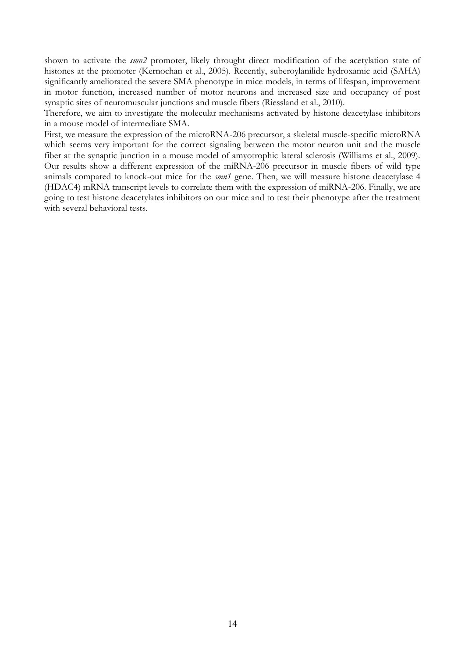shown to activate the *smn2* promoter, likely throught direct modification of the acetylation state of histones at the promoter (Kernochan et al., 2005). Recently, suberoylanilide hydroxamic acid (SAHA) significantly ameliorated the severe SMA phenotype in mice models, in terms of lifespan, improvement in motor function, increased number of motor neurons and increased size and occupancy of post synaptic sites of neuromuscular junctions and muscle fibers (Riessland et al., 2010).

Therefore, we aim to investigate the molecular mechanisms activated by histone deacetylase inhibitors in a mouse model of intermediate SMA.

First, we measure the expression of the microRNA-206 precursor, a skeletal muscle-specific microRNA which seems very important for the correct signaling between the motor neuron unit and the muscle fiber at the synaptic junction in a mouse model of amyotrophic lateral sclerosis (Williams et al., 2009). Our results show a different expression of the miRNA-206 precursor in muscle fibers of wild type animals compared to knock-out mice for the *smn1* gene. Then, we will measure histone deacetylase 4 (HDAC4) mRNA transcript levels to correlate them with the expression of miRNA-206. Finally, we are going to test histone deacetylates inhibitors on our mice and to test their phenotype after the treatment with several behavioral tests.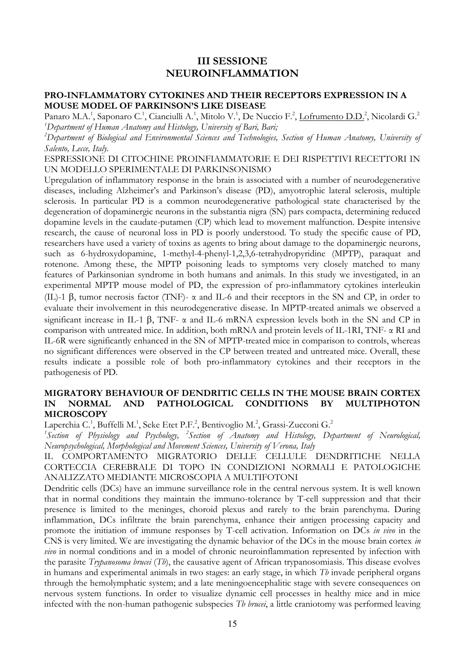# **III SESSIONE NEUROINFLAMMATION**

## **PRO-INFLAMMATORY CYTOKINES AND THEIR RECEPTORS EXPRESSION IN A MOUSE MODEL OF PARKINSON'S LIKE DISEASE**

Panaro M.A.<sup>1</sup>, Saponaro C.<sup>1</sup>, Cianciulli A.<sup>1</sup>, Mitolo V.<sup>1</sup>, De Nuccio F.<sup>2</sup>, <u>Lofrumento D.D.</u><sup>2</sup>, Nicolardi G.<sup>2</sup> *1 Department of Human Anatomy and Histology, University of Bari, Bari;*

*2 Department of Biological and Environmental Sciences and Technologies, Section of Human Anatomy, University of Salento, Lecce, Italy.*

#### ESPRESSIONE DI CITOCHINE PROINFIAMMATORIE E DEI RISPETTIVI RECETTORI IN UN MODELLO SPERIMENTALE DI PARKINSONISMO

Upregulation of inflammatory response in the brain is associated with a number of neurodegenerative diseases, including Alzheimer"s and Parkinson"s disease (PD), amyotrophic lateral sclerosis, multiple sclerosis. In particular PD is a common neurodegenerative pathological state characterised by the degeneration of dopaminergic neurons in the substantia nigra (SN) pars compacta, determining reduced dopamine levels in the caudate-putamen (CP) which lead to movement malfunction. Despite intensive research, the cause of neuronal loss in PD is poorly understood. To study the specific cause of PD, researchers have used a variety of toxins as agents to bring about damage to the dopaminergic neurons, such as 6-hydroxydopamine, 1-methyl-4-phenyl-1,2,3,6-tetrahydropyridine (MPTP), paraquat and rotenone. Among these, the MPTP poisoning leads to symptoms very closely matched to many features of Parkinsonian syndrome in both humans and animals. In this study we investigated, in an experimental MPTP mouse model of PD, the expression of pro-inflammatory cytokines interleukin (IL)-1  $\beta$ , tumor necrosis factor (TNF)-  $\alpha$  and IL-6 and their receptors in the SN and CP, in order to evaluate their involvement in this neurodegenerative disease. In MPTP-treated animals we observed a significant increase in IL-1  $\beta$ , TNF-  $\alpha$  and IL-6 mRNA expression levels both in the SN and CP in comparison with untreated mice. In addition, both mRNA and protein levels of IL-1RI, TNF- α RI and IL-6R were significantly enhanced in the SN of MPTP-treated mice in comparison to controls, whereas no significant differences were observed in the CP between treated and untreated mice. Overall, these results indicate a possible role of both pro-inflammatory cytokines and their receptors in the pathogenesis of PD.

### **MIGRATORY BEHAVIOUR OF DENDRITIC CELLS IN THE MOUSE BRAIN CORTEX IN NORMAL AND PATHOLOGICAL CONDITIONS BY MULTIPHOTON MICROSCOPY**

Laperchia C.<sup>1</sup>, Buffelli M.<sup>1</sup>, Seke Etet P.F.<sup>2</sup>, Bentivoglio M.<sup>2</sup>, Grassi-Zucconi G.<sup>2</sup>

*1 Section of Physiology and Psychology, 2 Section of Anatomy and Histology, Department of Neurological, Neuropsychological, Morphological and Movement Sciences, University of Verona, Italy*

IL COMPORTAMENTO MIGRATORIO DELLE CELLULE DENDRITICHE NELLA CORTECCIA CEREBRALE DI TOPO IN CONDIZIONI NORMALI E PATOLOGICHE ANALIZZATO MEDIANTE MICROSCOPIA A MULTIFOTONI

Dendritic cells (DCs) have an immune surveillance role in the central nervous system. It is well known that in normal conditions they maintain the immuno-tolerance by T-cell suppression and that their presence is limited to the meninges, choroid plexus and rarely to the brain parenchyma. During inflammation, DCs infiltrate the brain parenchyma, enhance their antigen processing capacity and promote the initiation of immune responses by T-cell activation. Information on DCs *in vivo* in the CNS is very limited. We are investigating the dynamic behavior of the DCs in the mouse brain cortex *in vivo* in normal conditions and in a model of chronic neuroinflammation represented by infection with the parasite *Trypanosoma brucei* (*Tb*), the causative agent of African trypanosomiasis. This disease evolves in humans and experimental animals in two stages: an early stage, in which *Tb* invade peripheral organs through the hemolymphatic system; and a late meningoencephalitic stage with severe consequences on nervous system functions. In order to visualize dynamic cell processes in healthy mice and in mice infected with the non-human pathogenic subspecies *Tb brucei*, a little craniotomy was performed leaving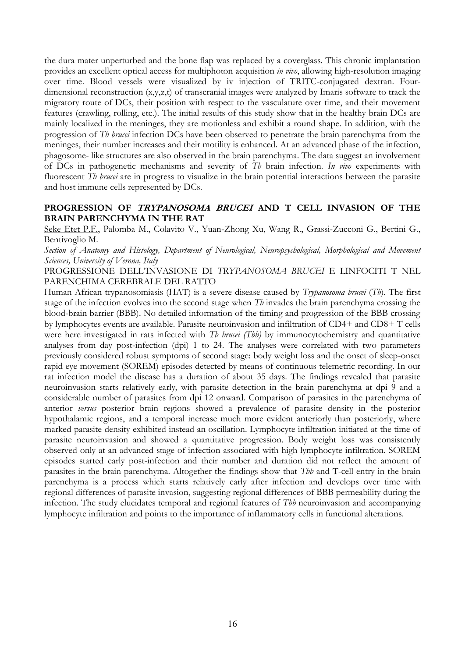the dura mater unperturbed and the bone flap was replaced by a coverglass. This chronic implantation provides an excellent optical access for multiphoton acquisition *in vivo*, allowing high-resolution imaging over time. Blood vessels were visualized by iv injection of TRITC-conjugated dextran. Fourdimensional reconstruction  $(x,y,z,t)$  of transcranial images were analyzed by Imaris software to track the migratory route of DCs, their position with respect to the vasculature over time, and their movement features (crawling, rolling, etc.). The initial results of this study show that in the healthy brain DCs are mainly localized in the meninges, they are motionless and exhibit a round shape. In addition, with the progression of *Tb brucei* infection DCs have been observed to penetrate the brain parenchyma from the meninges, their number increases and their motility is enhanced. At an advanced phase of the infection, phagosome- like structures are also observed in the brain parenchyma. The data suggest an involvement of DCs in pathogenetic mechanisms and severity of *Tb* brain infection. *In vivo* experiments with fluorescent *Tb brucei* are in progress to visualize in the brain potential interactions between the parasite and host immune cells represented by DCs.

# **PROGRESSION OF TRYPANOSOMA BRUCEI AND T CELL INVASION OF THE BRAIN PARENCHYMA IN THE RAT**

Seke Etet P.F., Palomba M., Colavito V., Yuan-Zhong Xu, Wang R., Grassi-Zucconi G., Bertini G., Bentivoglio M.

*Section of Anatomy and Histology, Department of Neurological, Neuropsychological, Morphological and Movement Sciences, University of Verona, Italy*

PROGRESSIONE DELL"INVASIONE DI *TRYPANOSOMA BRUCEI* E LINFOCITI T NEL PARENCHIMA CEREBRALE DEL RATTO

Human African trypanosomiasis (HAT) is a severe disease caused by *Trypanosoma brucei* (*Tb*). The first stage of the infection evolves into the second stage when *Tb* invades the brain parenchyma crossing the blood-brain barrier (BBB). No detailed information of the timing and progression of the BBB crossing by lymphocytes events are available. Parasite neuroinvasion and infiltration of CD4+ and CD8+ T cells were here investigated in rats infected with *Tb brucei (Tbb)* by immunocytochemistry and quantitative analyses from day post-infection (dpi) 1 to 24. The analyses were correlated with two parameters previously considered robust symptoms of second stage: body weight loss and the onset of sleep-onset rapid eye movement (SOREM) episodes detected by means of continuous telemetric recording. In our rat infection model the disease has a duration of about 35 days. The findings revealed that parasite neuroinvasion starts relatively early, with parasite detection in the brain parenchyma at dpi 9 and a considerable number of parasites from dpi 12 onward. Comparison of parasites in the parenchyma of anterior *versus* posterior brain regions showed a prevalence of parasite density in the posterior hypothalamic regions, and a temporal increase much more evident anteriorly than posteriorly, where marked parasite density exhibited instead an oscillation. Lymphocyte infiltration initiated at the time of parasite neuroinvasion and showed a quantitative progression. Body weight loss was consistently observed only at an advanced stage of infection associated with high lymphocyte infiltration. SOREM episodes started early post-infection and their number and duration did not reflect the amount of parasites in the brain parenchyma. Altogether the findings show that *Tbb* and T-cell entry in the brain parenchyma is a process which starts relatively early after infection and develops over time with regional differences of parasite invasion, suggesting regional differences of BBB permeability during the infection. The study elucidates temporal and regional features of *Tbb* neuroinvasion and accompanying lymphocyte infiltration and points to the importance of inflammatory cells in functional alterations.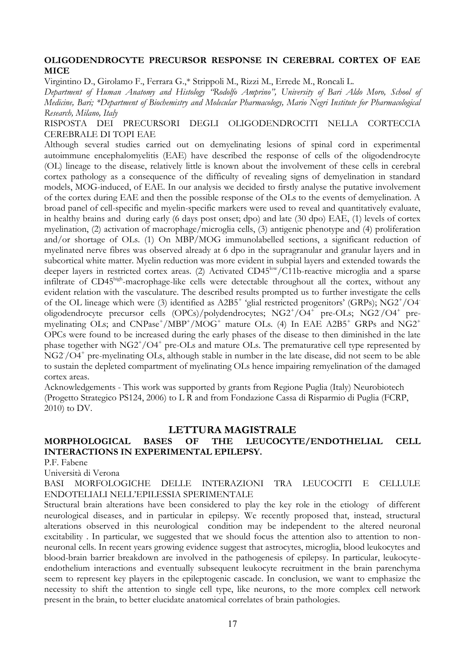### **OLIGODENDROCYTE PRECURSOR RESPONSE IN CEREBRAL CORTEX OF EAE MICE**

Virgintino D., Girolamo F., Ferrara G.,\* Strippoli M., Rizzi M., Errede M., Roncali L.

*Department of Human Anatomy and Histology "Rodolfo Amprino", University of Bari Aldo Moro, School of Medicine, Bari; \*Department of Biochemistry and Molecular Pharmacology, Mario Negri Institute for Pharmacological Research, Milano, Italy*

RISPOSTA DEI PRECURSORI DEGLI OLIGODENDROCITI NELLA CORTECCIA CEREBRALE DI TOPI EAE

Although several studies carried out on demyelinating lesions of spinal cord in experimental autoimmune encephalomyelitis (EAE) have described the response of cells of the oligodendrocyte (OL) lineage to the disease, relatively little is known about the involvement of these cells in cerebral cortex pathology as a consequence of the difficulty of revealing signs of demyelination in standard models, MOG-induced, of EAE. In our analysis we decided to firstly analyse the putative involvement of the cortex during EAE and then the possible response of the OLs to the events of demyelination. A broad panel of cell-specific and myelin-specific markers were used to reveal and quantitatively evaluate, in healthy brains and during early (6 days post onset; dpo) and late (30 dpo) EAE, (1) levels of cortex myelination, (2) activation of macrophage/microglia cells, (3) antigenic phenotype and (4) proliferation and/or shortage of OLs. (1) On MBP/MOG immunolabelled sections, a significant reduction of myelinated nerve fibres was observed already at 6 dpo in the supragranular and granular layers and in subcortical white matter. Myelin reduction was more evident in subpial layers and extended towards the deeper layers in restricted cortex areas. (2) Activated CD45<sup>low</sup>/C11b-reactive microglia and a sparse infiltrate of CD45<sup>high</sup>-macrophage-like cells were detectable throughout all the cortex, without any evident relation with the vasculature. The described results prompted us to further investigate the cells of the OL lineage which were (3) identified as A2B5<sup>+</sup> 'glial restricted progenitors' (GRPs); NG2<sup>+</sup>/O4<sup>-</sup> oligodendrocyte precursor cells (OPCs)/polydendrocytes; NG2+/O4+ pre-OLs; NG2-/O4+ premyelinating OLs; and CNPase<sup>+</sup>/MBP<sup>+</sup>/MOG<sup>+</sup> mature OLs. (4) In EAE A2B5<sup>+</sup> GRPs and NG2<sup>+</sup> OPCs were found to be increased during the early phases of the disease to then diminished in the late phase together with NG2+/O4+ pre-OLs and mature OLs. The prematurative cell type represented by NG2/O4<sup>+</sup> pre-myelinating OLs, although stable in number in the late disease, did not seem to be able to sustain the depleted compartment of myelinating OLs hence impairing remyelination of the damaged cortex areas.

Acknowledgements - This work was supported by grants from Regione Puglia (Italy) Neurobiotech (Progetto Strategico PS124, 2006) to L R and from Fondazione Cassa di Risparmio di Puglia (FCRP, 2010) to DV.

# **LETTURA MAGISTRALE**

# **MORPHOLOGICAL BASES OF THE LEUCOCYTE/ENDOTHELIAL CELL INTERACTIONS IN EXPERIMENTAL EPILEPSY.**

P.F. Fabene

Università di Verona

BASI MORFOLOGICHE DELLE INTERAZIONI TRA LEUCOCITI E CELLULE ENDOTELIALI NELL"EPILESSIA SPERIMENTALE

Structural brain alterations have been considered to play the key role in the etiology of different neurological diseases, and in particular in epilepsy. We recently proposed that, instead, structural alterations observed in this neurological condition may be independent to the altered neuronal excitability . In particular, we suggested that we should focus the attention also to attention to nonneuronal cells. In recent years growing evidence suggest that astrocytes, microglia, blood leukocytes and blood-brain barrier breakdown are involved in the pathogenesis of epilepsy. In particular, leukocyteendothelium interactions and eventually subsequent leukocyte recruitment in the brain parenchyma seem to represent key players in the epileptogenic cascade. In conclusion, we want to emphasize the necessity to shift the attention to single cell type, like neurons, to the more complex cell network present in the brain, to better elucidate anatomical correlates of brain pathologies.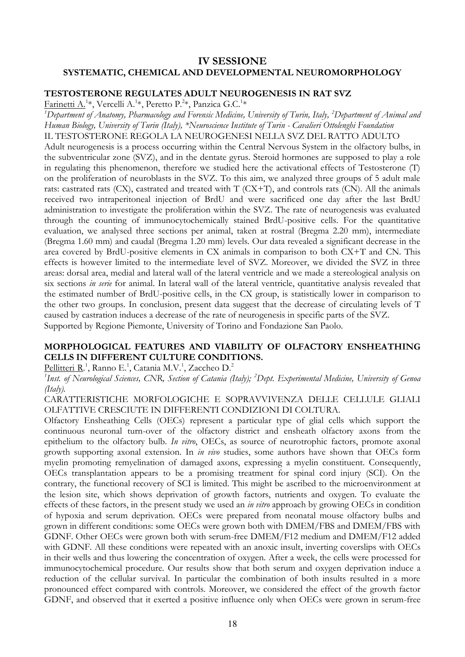# **IV SESSIONE SYSTEMATIC, CHEMICAL AND DEVELOPMENTAL NEUROMORPHOLOGY**

# **TESTOSTERONE REGULATES ADULT NEUROGENESIS IN RAT SVZ**

Farinetti A.<sup>1</sup>\*, Vercelli A.<sup>1</sup>\*, Peretto P.<sup>2</sup>\*, Panzica G.C.<sup>1</sup>\*

*1 Department of Anatomy, Pharmacology and Forensic Medicine, University of Turin, Italy, 2 Department of Animal and Human Biology, University of Turin (Italy), \*Neuroscience Institute of Turin - Cavalieri Ottolenghi Foundation* IL TESTOSTERONE REGOLA LA NEUROGENESI NELLA SVZ DEL RATTO ADULTO Adult neurogenesis is a process occurring within the Central Nervous System in the olfactory bulbs, in the subventricular zone (SVZ), and in the dentate gyrus. Steroid hormones are supposed to play a role in regulating this phenomenon, therefore we studied here the activational effects of Testosterone (T) on the proliferation of neuroblasts in the SVZ. To this aim, we analyzed three groups of 5 adult male rats: castrated rats (CX), castrated and treated with T (CX+T), and controls rats (CN). All the animals received two intraperitoneal injection of BrdU and were sacrificed one day after the last BrdU administration to investigate the proliferation within the SVZ. The rate of neurogenesis was evaluated through the counting of immunocytochemically stained BrdU-positive cells. For the quantitative evaluation, we analysed three sections per animal, taken at rostral (Bregma 2.20 mm), intermediate (Bregma 1.60 mm) and caudal (Bregma 1.20 mm) levels. Our data revealed a significant decrease in the area covered by BrdU-positive elements in CX animals in comparison to both CX+T and CN. This effects is however limited to the intermediate level of SVZ. Moreover, we divided the SVZ in three areas: dorsal area, medial and lateral wall of the lateral ventricle and we made a stereological analysis on six sections *in serie* for animal. In lateral wall of the lateral ventricle, quantitative analysis revealed that the estimated number of BrdU-positive cells, in the CX group, is statistically lower in comparison to the other two groups. In conclusion, present data suggest that the decrease of circulating levels of T caused by castration induces a decrease of the rate of neurogenesis in specific parts of the SVZ. Supported by Regione Piemonte, University of Torino and Fondazione San Paolo.

# **MORPHOLOGICAL FEATURES AND VIABILITY OF OLFACTORY ENSHEATHING CELLS IN DIFFERENT CULTURE CONDITIONS.**

Pellitteri R.<sup>1</sup>, Ranno E.<sup>1</sup>, Catania M.V.<sup>1</sup>, Zaccheo D.<sup>2</sup>

*1 Inst. of Neurological Sciences, CNR, Section of Catania (Italy); 2 Dept. Experimental Medicine, University of Genoa (Italy).*

CARATTERISTICHE MORFOLOGICHE E SOPRAVVIVENZA DELLE CELLULE GLIALI OLFATTIVE CRESCIUTE IN DIFFERENTI CONDIZIONI DI COLTURA.

Olfactory Ensheathing Cells (OECs) represent a particular type of glial cells which support the continuous neuronal turn-over of the olfactory district and ensheath olfactory axons from the epithelium to the olfactory bulb. *In vitro*, OECs, as source of neurotrophic factors, promote axonal growth supporting axonal extension. In *in vivo* studies, some authors have shown that OECs form myelin promoting remyelination of damaged axons, expressing a myelin constituent. Consequently, OECs transplantation appears to be a promising treatment for spinal cord injury (SCI). On the contrary, the functional recovery of SCI is limited. This might be ascribed to the microenvironment at the lesion site, which shows deprivation of growth factors, nutrients and oxygen. To evaluate the effects of these factors, in the present study we used an *in vitro* approach by growing OECs in condition of hypoxia and serum deprivation. OECs were prepared from neonatal mouse olfactory bulbs and grown in different conditions: some OECs were grown both with DMEM/FBS and DMEM/FBS with GDNF. Other OECs were grown both with serum-free DMEM/F12 medium and DMEM/F12 added with GDNF. All these conditions were repeated with an anoxic insult, inverting coverslips with OECs in their wells and thus lowering the concentration of oxygen. After a week, the cells were processed for immunocytochemical procedure. Our results show that both serum and oxygen deprivation induce a reduction of the cellular survival. In particular the combination of both insults resulted in a more pronounced effect compared with controls. Moreover, we considered the effect of the growth factor GDNF, and observed that it exerted a positive influence only when OECs were grown in serum-free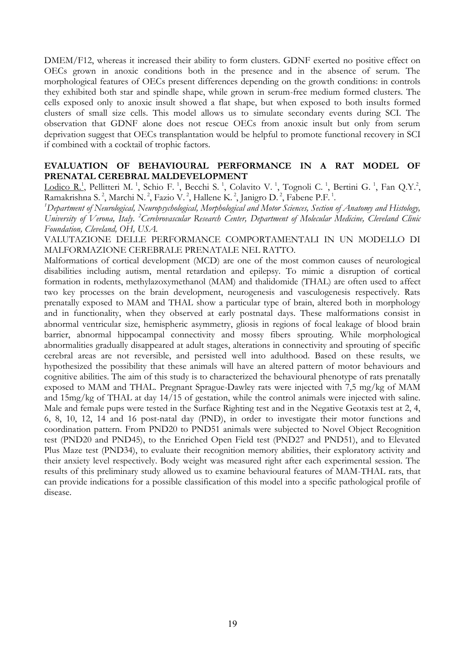DMEM/F12, whereas it increased their ability to form clusters. GDNF exerted no positive effect on OECs grown in anoxic conditions both in the presence and in the absence of serum. The morphological features of OECs present differences depending on the growth conditions: in controls they exhibited both star and spindle shape, while grown in serum-free medium formed clusters. The cells exposed only to anoxic insult showed a flat shape, but when exposed to both insults formed clusters of small size cells. This model allows us to simulate secondary events during SCI. The observation that GDNF alone does not rescue OECs from anoxic insult but only from serum deprivation suggest that OECs transplantation would be helpful to promote functional recovery in SCI if combined with a cocktail of trophic factors.

## **EVALUATION OF BEHAVIOURAL PERFORMANCE IN A RAT MODEL OF PRENATAL CEREBRAL MALDEVELOPMENT**

Lodico R.<sup>1</sup>, Pellitteri M.<sup>1</sup>, Schio F.<sup>1</sup>, Becchi S.<sup>1</sup>, Colavito V.<sup>1</sup>, Tognoli C.<sup>1</sup>, Bertini G.<sup>1</sup>, Fan Q.Y.<sup>2</sup>, Ramakrishna S.<sup>2</sup>, Marchi N.<sup>2</sup>, Fazio V.<sup>2</sup>, Hallene K.<sup>2</sup>, Janigro D.<sup>2</sup>, Fabene P.F.<sup>1</sup>.

*1 Department of Neurological, Neuropsychological, Morphological and Motor Sciences, Section of Anatomy and Histology, University of Verona, Italy. 2 Cerebrovascular Research Center, Department of Molecular Medicine, Cleveland Clinic Foundation, Cleveland, OH, USA.*

VALUTAZIONE DELLE PERFORMANCE COMPORTAMENTALI IN UN MODELLO DI MALFORMAZIONE CEREBRALE PRENATALE NEL RATTO.

Malformations of cortical development (MCD) are one of the most common causes of neurological disabilities including autism, mental retardation and epilepsy. To mimic a disruption of cortical formation in rodents, methylazoxymethanol (MAM) and thalidomide (THAL) are often used to affect two key processes on the brain development, neurogenesis and vasculogenesis respectively. Rats prenatally exposed to MAM and THAL show a particular type of brain, altered both in morphology and in functionality, when they observed at early postnatal days. These malformations consist in abnormal ventricular size, hemispheric asymmetry, gliosis in regions of focal leakage of blood brain barrier, abnormal hippocampal connectivity and mossy fibers sprouting. While morphological abnormalities gradually disappeared at adult stages, alterations in connectivity and sprouting of specific cerebral areas are not reversible, and persisted well into adulthood. Based on these results, we hypothesized the possibility that these animals will have an altered pattern of motor behaviours and cognitive abilities. The aim of this study is to characterized the behavioural phenotype of rats prenatally exposed to MAM and THAL. Pregnant Sprague-Dawley rats were injected with 7,5 mg/kg of MAM and 15mg/kg of THAL at day 14/15 of gestation, while the control animals were injected with saline. Male and female pups were tested in the Surface Righting test and in the Negative Geotaxis test at 2, 4, 6, 8, 10, 12, 14 and 16 post-natal day (PND), in order to investigate their motor functions and coordination pattern. From PND20 to PND51 animals were subjected to Novel Object Recognition test (PND20 and PND45), to the Enriched Open Field test (PND27 and PND51), and to Elevated Plus Maze test (PND34), to evaluate their recognition memory abilities, their exploratory activity and their anxiety level respectively. Body weight was measured right after each experimental session. The results of this preliminary study allowed us to examine behavioural features of MAM-THAL rats, that can provide indications for a possible classification of this model into a specific pathological profile of disease.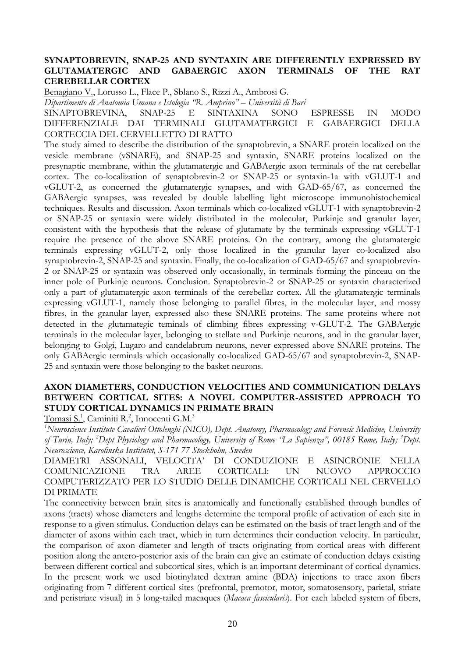### **SYNAPTOBREVIN, SNAP-25 AND SYNTAXIN ARE DIFFERENTLY EXPRESSED BY GLUTAMATERGIC AND GABAERGIC AXON TERMINALS OF THE RAT CEREBELLAR CORTEX**

Benagiano V., Lorusso L., Flace P., Sblano S., Rizzi A., Ambrosi G.

*Dipartimento di Anatomia Umana e Istologia "R. Amprino" – Università di Bari*

SINAPTOBREVINA, SNAP-25 E SINTAXINA SONO ESPRESSE IN MODO DIFFERENZIALE DAI TERMINALI GLUTAMATERGICI E GABAERGICI DELLA CORTECCIA DEL CERVELLETTO DI RATTO

The study aimed to describe the distribution of the synaptobrevin, a SNARE protein localized on the vesicle membrane (vSNARE), and SNAP-25 and syntaxin, SNARE proteins localized on the presynaptic membrane, within the glutamatergic and GABAergic axon terminals of the rat cerebellar cortex. The co-localization of synaptobrevin-2 or SNAP-25 or syntaxin-1a with vGLUT-1 and vGLUT-2, as concerned the glutamatergic synapses, and with GAD-65/67, as concerned the GABAergic synapses, was revealed by double labelling light microscope immunohistochemical techniques. Results and discussion. Axon terminals which co-localized vGLUT-1 with synaptobrevin-2 or SNAP-25 or syntaxin were widely distributed in the molecular, Purkinje and granular layer, consistent with the hypothesis that the release of glutamate by the terminals expressing vGLUT-1 require the presence of the above SNARE proteins. On the contrary, among the glutamatergic terminals expressing vGLUT-2, only those localized in the granular layer co-localized also synaptobrevin-2, SNAP-25 and syntaxin. Finally, the co-localization of GAD-65/67 and synaptobrevin-2 or SNAP-25 or syntaxin was observed only occasionally, in terminals forming the pinceau on the inner pole of Purkinje neurons. Conclusion. Synaptobrevin-2 or SNAP-25 or syntaxin characterized only a part of glutamatergic axon terminals of the cerebellar cortex. All the glutamatergic terminals expressing vGLUT-1, namely those belonging to parallel fibres, in the molecular layer, and mossy fibres, in the granular layer, expressed also these SNARE proteins. The same proteins where not detected in the glutamategic teminals of climbing fibres expressing v-GLUT-2. The GABAergic terminals in the molecular layer, belonging to stellate and Purkinje neurons, and in the granular layer, belonging to Golgi, Lugaro and candelabrum neurons, never expressed above SNARE proteins. The only GABAergic terminals which occasionally co-localized GAD-65/67 and synaptobrevin-2, SNAP-25 and syntaxin were those belonging to the basket neurons.

# **AXON DIAMETERS, CONDUCTION VELOCITIES AND COMMUNICATION DELAYS BETWEEN CORTICAL SITES: A NOVEL COMPUTER-ASSISTED APPROACH TO STUDY CORTICAL DYNAMICS IN PRIMATE BRAIN**

Tomasi S.<sup>1</sup>, Caminiti R.<sup>2</sup>, Innocenti G.M.<sup>3</sup>

<sup>1</sup> Neuroscience Institute Cavalieri Ottolenghi (NICO), Dept. Anatomy, Pharmacology and Forensic Medicine, University *of Turin, Italy; 2 Dept Physiology and Pharmacology, University of Rome "La Sapienza", 00185 Rome, Italy; 3 Dept. Neuroscience, Karolinska Institutet, S-171 77 Stockholm, Sweden*

DIAMETRI ASSONALI, VELOCITA" DI CONDUZIONE E ASINCRONIE NELLA COMUNICAZIONE TRA AREE CORTICALI: UN NUOVO APPROCCIO COMPUTERIZZATO PER LO STUDIO DELLE DINAMICHE CORTICALI NEL CERVELLO DI PRIMATE

The connectivity between brain sites is anatomically and functionally established through bundles of axons (tracts) whose diameters and lengths determine the temporal profile of activation of each site in response to a given stimulus. Conduction delays can be estimated on the basis of tract length and of the diameter of axons within each tract, which in turn determines their conduction velocity. In particular, the comparison of axon diameter and length of tracts originating from cortical areas with different position along the antero-posterior axis of the brain can give an estimate of conduction delays existing between different cortical and subcortical sites, which is an important determinant of cortical dynamics. In the present work we used biotinylated dextran amine (BDA) injections to trace axon fibers originating from 7 different cortical sites (prefrontal, premotor, motor, somatosensory, parietal, striate and peristriate visual) in 5 long-tailed macaques (*Macaca fascicularis*). For each labeled system of fibers,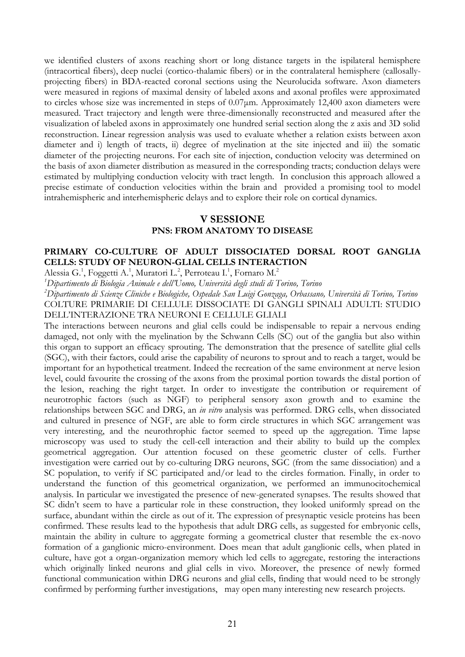we identified clusters of axons reaching short or long distance targets in the ispilateral hemisphere (intracortical fibers), deep nuclei (cortico-thalamic fibers) or in the contralateral hemisphere (callosallyprojecting fibers) in BDA-reacted coronal sections using the Neurolucida software. Axon diameters were measured in regions of maximal density of labeled axons and axonal profiles were approximated to circles whose size was incremented in steps of  $0.07\mu$ m. Approximately 12,400 axon diameters were measured. Tract trajectory and length were three-dimensionally reconstructed and measured after the visualization of labeled axons in approximately one hundred serial section along the z axis and 3D solid reconstruction. Linear regression analysis was used to evaluate whether a relation exists between axon diameter and i) length of tracts, ii) degree of myelination at the site injected and iii) the somatic diameter of the projecting neurons. For each site of injection, conduction velocity was determined on the basis of axon diameter distribution as measured in the corresponding tracts; conduction delays were estimated by multiplying conduction velocity with tract length. In conclusion this approach allowed a precise estimate of conduction velocities within the brain and provided a promising tool to model intrahemispheric and interhemispheric delays and to explore their role on cortical dynamics.

# **V SESSIONE PNS: FROM ANATOMY TO DISEASE**

# **PRIMARY CO-CULTURE OF ADULT DISSOCIATED DORSAL ROOT GANGLIA CELLS: STUDY OF NEURON-GLIAL CELLS INTERACTION**

Alessia G.<sup>1</sup>, Foggetti A.<sup>1</sup>, Muratori L.<sup>2</sup>, Perroteau I.<sup>1</sup>, Fornaro M.<sup>2</sup>

*1 Dipartimento di Biologia Animale e dell'Uomo, Università degli studi di Torino, Torino*

*2 Dipartimento di Scienze Cliniche e Biologiche, Ospedale San Luigi Gonzaga, Orbassano, Università di Torino, Torino* COLTURE PRIMARIE DI CELLULE DISSOCIATE DI GANGLI SPINALI ADULTI: STUDIO DELL"INTERAZIONE TRA NEURONI E CELLULE GLIALI

The interactions between neurons and glial cells could be indispensable to repair a nervous ending damaged, not only with the myelination by the Schwann Cells (SC) out of the ganglia but also within this organ to support an efficacy sprouting. The demonstration that the presence of satellite glial cells (SGC), with their factors, could arise the capability of neurons to sprout and to reach a target, would be important for an hypothetical treatment. Indeed the recreation of the same environment at nerve lesion level, could favourite the crossing of the axons from the proximal portion towards the distal portion of the lesion, reaching the right target. In order to investigate the contribution or requirement of neurotrophic factors (such as NGF) to peripheral sensory axon growth and to examine the relationships between SGC and DRG, an *in vitro* analysis was performed. DRG cells, when dissociated and cultured in presence of NGF, are able to form circle structures in which SGC arrangement was very interesting, and the neurothrophic factor seemed to speed up the aggregation. Time lapse microscopy was used to study the cell-cell interaction and their ability to build up the complex geometrical aggregation. Our attention focused on these geometric cluster of cells. Further investigation were carried out by co-culturing DRG neurons, SGC (from the same dissociation) and a SC population, to verify if SC participated and/or lead to the circles formation. Finally, in order to understand the function of this geometrical organization, we performed an immunocitochemical analysis. In particular we investigated the presence of new-generated synapses. The results showed that SC didn't seem to have a particular role in these construction, they looked uniformly spread on the surface, abundant within the circle as out of it. The expression of presynaptic vesicle proteins has been confirmed. These results lead to the hypothesis that adult DRG cells, as suggested for embryonic cells, maintain the ability in culture to aggregate forming a geometrical cluster that resemble the ex-novo formation of a ganglionic micro-environment. Does mean that adult ganglionic cells, when plated in culture, have got a organ-organization memory which led cells to aggregate, restoring the interactions which originally linked neurons and glial cells in vivo. Moreover, the presence of newly formed functional communication within DRG neurons and glial cells, finding that would need to be strongly confirmed by performing further investigations, may open many interesting new research projects.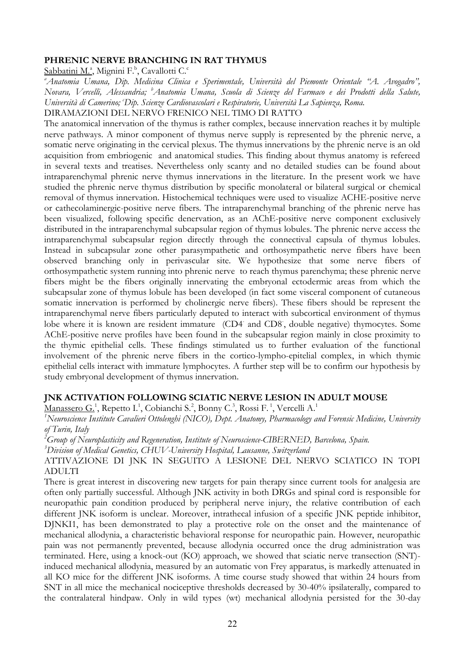#### **PHRENIC NERVE BRANCHING IN RAT THYMUS**

Sabbatini M.ª, Mignini F.<sup>b</sup>, Cavallotti C.<sup>c</sup>

*a Anatomia Umana, Dip. Medicina Clinica e Sperimentale, Università del Piemonte Orientale "A. Avogadro", Novara, Vercelli, Alessandria; b Anatomia Umana, Scuola di Scienze del Farmaco e dei Prodotti della Salute,*  Università di Camerino; 'Dip. Scienze Cardiovascolari e Respiratorie, Università La Sapienza, Roma.

DIRAMAZIONI DEL NERVO FRENICO NEL TIMO DI RATTO

The anatomical innervation of the thymus is rather complex, because innervation reaches it by multiple nerve pathways. A minor component of thymus nerve supply is represented by the phrenic nerve, a somatic nerve originating in the cervical plexus. The thymus innervations by the phrenic nerve is an old acquisition from embriogenic and anatomical studies. This finding about thymus anatomy is refereed in several texts and treatises. Nevertheless only scanty and no detailed studies can be found about intraparenchymal phrenic nerve thymus innervations in the literature. In the present work we have studied the phrenic nerve thymus distribution by specific monolateral or bilateral surgical or chemical removal of thymus innervation. Histochemical techniques were used to visualize ACHE-positive nerve or cathecolaminergic-positive nerve fibers. The intraparenchymal branching of the phrenic nerve has been visualized, following specific denervation, as an AChE-positive nerve component exclusively distributed in the intraparenchymal subcapsular region of thymus lobules. The phrenic nerve access the intraparenchymal subcapsular region directly through the connectival capsula of thymus lobules. Instead in subcapsular zone other parasympathetic and orthosympathetic nerve fibers have been observed branching only in perivascular site. We hypothesize that some nerve fibers of orthosympathetic system running into phrenic nerve to reach thymus parenchyma; these phrenic nerve fibers might be the fibers originally innervating the embryonal ectodermic areas from which the subcapsular zone of thymus lobule has been developed (in fact some visceral component of cutaneous somatic innervation is performed by cholinergic nerve fibers). These fibers should be represent the intraparenchymal nerve fibers particularly deputed to interact with subcortical environment of thymus lobe where it is known are resident immature (CD4- and CD8- , double negative) thymocytes. Some AChE-positive nerve profiles have been found in the subcapsular region mainly in close proximity to the thymic epithelial cells. These findings stimulated us to further evaluation of the functional involvement of the phrenic nerve fibers in the cortico-lympho-epitelial complex, in which thymic epithelial cells interact with immature lymphocytes. A further step will be to confirm our hypothesis by study embryonal development of thymus innervation.

## **JNK ACTIVATION FOLLOWING SCIATIC NERVE LESION IN ADULT MOUSE**

Manassero G.<sup>1</sup>, Repetto I.<sup>1</sup>, Cobianchi S.<sup>2</sup>, Bonny C.<sup>3</sup>, Rossi F.<sup>1</sup>, Vercelli A.<sup>1</sup>

<sup>1</sup> Neuroscience Institute Cavalieri Ottolenghi (NICO), Dept. Anatomy, Pharmacology and Forensic Medicine, University *of Turin, Italy*

*2 Group of Neuroplasticity and Regeneration, Institute of Neuroscience-CIBERNED, Barcelona, Spain.*

*3 Division of Medical Genetics, CHUV-University Hospital, Lausanne, Switzerland*

ATTIVAZIONE DI JNK IN SEGUITO A LESIONE DEL NERVO SCIATICO IN TOPI ADULTI

There is great interest in discovering new targets for pain therapy since current tools for analgesia are often only partially successful. Although JNK activity in both DRGs and spinal cord is responsible for neuropathic pain condition produced by peripheral nerve injury, the relative contribution of each different JNK isoform is unclear. Moreover, intrathecal infusion of a specific JNK peptide inhibitor, DJNKI1, has been demonstrated to play a protective role on the onset and the maintenance of mechanical allodynia, a characteristic behavioral response for neuropathic pain. However, neuropathic pain was not permanently prevented, because allodynia occurred once the drug administration was terminated. Here, using a knock-out (KO) approach, we showed that sciatic nerve transection (SNT) induced mechanical allodynia, measured by an automatic von Frey apparatus, is markedly attenuated in all KO mice for the different JNK isoforms. A time course study showed that within 24 hours from SNT in all mice the mechanical nociceptive thresholds decreased by 30-40% ipsilaterally, compared to the contralateral hindpaw. Only in wild types (wt) mechanical allodynia persisted for the 30-day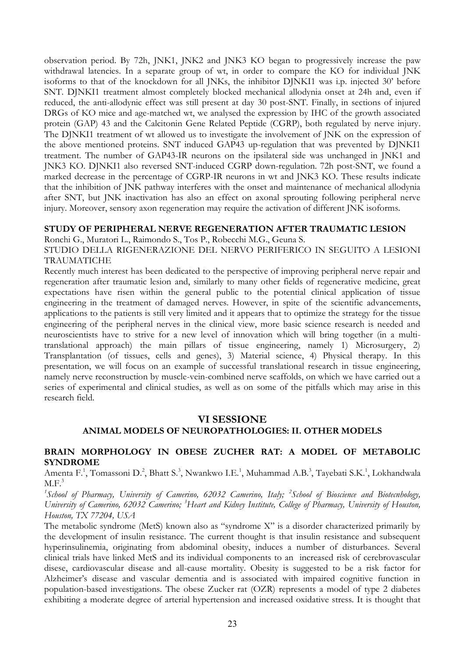observation period. By 72h, JNK1, JNK2 and JNK3 KO began to progressively increase the paw withdrawal latencies. In a separate group of wt, in order to compare the KO for individual JNK isoforms to that of the knockdown for all JNKs, the inhibitor DJNKI1 was i.p. injected 30" before SNT. DJNKI1 treatment almost completely blocked mechanical allodynia onset at 24h and, even if reduced, the anti-allodynic effect was still present at day 30 post-SNT. Finally, in sections of injured DRGs of KO mice and age-matched wt, we analysed the expression by IHC of the growth associated protein (GAP) 43 and the Calcitonin Gene Related Peptide (CGRP), both regulated by nerve injury. The DJNKI1 treatment of wt allowed us to investigate the involvement of JNK on the expression of the above mentioned proteins. SNT induced GAP43 up-regulation that was prevented by DJNKI1 treatment. The number of GAP43-IR neurons on the ipsilateral side was unchanged in JNK1 and JNK3 KO. DJNKI1 also reversed SNT-induced CGRP down-regulation. 72h post-SNT, we found a marked decrease in the percentage of CGRP-IR neurons in wt and JNK3 KO. These results indicate that the inhibition of JNK pathway interferes with the onset and maintenance of mechanical allodynia after SNT, but JNK inactivation has also an effect on axonal sprouting following peripheral nerve injury. Moreover, sensory axon regeneration may require the activation of different JNK isoforms.

## **STUDY OF PERIPHERAL NERVE REGENERATION AFTER TRAUMATIC LESION**

Ronchi G., Muratori L., Raimondo S., Tos P., Robecchi M.G., Geuna S.

STUDIO DELLA RIGENERAZIONE DEL NERVO PERIFERICO IN SEGUITO A LESIONI TRAUMATICHE

Recently much interest has been dedicated to the perspective of improving peripheral nerve repair and regeneration after traumatic lesion and, similarly to many other fields of regenerative medicine, great expectations have risen within the general public to the potential clinical application of tissue engineering in the treatment of damaged nerves. However, in spite of the scientific advancements, applications to the patients is still very limited and it appears that to optimize the strategy for the tissue engineering of the peripheral nerves in the clinical view, more basic science research is needed and neuroscientists have to strive for a new level of innovation which will bring together (in a multitranslational approach) the main pillars of tissue engineering, namely 1) Microsurgery, 2) Transplantation (of tissues, cells and genes), 3) Material science, 4) Physical therapy. In this presentation, we will focus on an example of successful translational research in tissue engineering, namely nerve reconstruction by muscle-vein-combined nerve scaffolds, on which we have carried out a series of experimental and clinical studies, as well as on some of the pitfalls which may arise in this research field.

## **VI SESSIONE**

# **ANIMAL MODELS OF NEUROPATHOLOGIES: II. OTHER MODELS**

#### **BRAIN MORPHOLOGY IN OBESE ZUCHER RAT: A MODEL OF METABOLIC SYNDROME**

Amenta F.<sup>1</sup>, Tomassoni D.<sup>2</sup>, Bhatt S.<sup>3</sup>, Nwankwo I.E.<sup>1</sup>, Muhammad A.B.<sup>3</sup>, Tayebati S.K.<sup>1</sup>, Lokhandwala  $M.F.<sup>3</sup>$ 

<sup>1</sup> School of Pharmacy, University of Camerino, 62032 Camerino, Italy; <sup>2</sup> School of Bioscience and Biotecnhology, *University of Camerino, 62032 Camerino; 3 Heart and Kidney Institute, College of Pharmacy, University of Houston, Houston, TX 77204, USA*

The metabolic syndrome (MetS) known also as "syndrome X" is a disorder characterized primarily by the development of insulin resistance. The current thought is that insulin resistance and subsequent hyperinsulinemia, originating from abdominal obesity, induces a number of disturbances. Several clinical trials have linked MetS and its individual components to an increased risk of cerebrovascular disese, cardiovascular disease and all-cause mortality. Obesity is suggested to be a risk factor for Alzheimer's disease and vascular dementia and is associated with impaired cognitive function in population-based investigations. The obese Zucker rat (OZR) represents a model of type 2 diabetes exhibiting a moderate degree of arterial hypertension and increased oxidative stress. It is thought that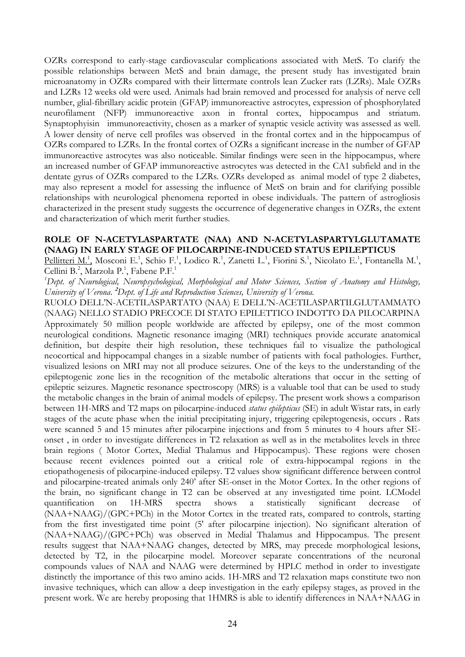OZRs correspond to early-stage cardiovascular complications associated with MetS. To clarify the possible relationships between MetS and brain damage, the present study has investigated brain microanatomy in OZRs compared with their littermate controls lean Zucker rats (LZRs). Male OZRs and LZRs 12 weeks old were used. Animals had brain removed and processed for analysis of nerve cell number, glial-fibrillary acidic protein (GFAP) immunoreactive astrocytes, expression of phosphorylated neurofilament (NFP) immunoreactive axon in frontal cortex, hippocampus and striatum. Synaptophyisin immunoreactivity, chosen as a marker of synaptic vesicle activity was assessed as well. A lower density of nerve cell profiles was observed in the frontal cortex and in the hippocampus of OZRs compared to LZRs. In the frontal cortex of OZRs a significant increase in the number of GFAP immunoreactive astrocytes was also noticeable. Similar findings were seen in the hippocampus, where an increased number of GFAP immunoreactive astrocytes was detected in the CA1 subfield and in the dentate gyrus of OZRs compared to the LZRs. OZRs developed as animal model of type 2 diabetes, may also represent a model for assessing the influence of MetS on brain and for clarifying possible relationships with neurological phenomena reported in obese individuals. The pattern of astrogliosis characterized in the present study suggests the occurrence of degenerative changes in OZRs, the extent and characterization of which merit further studies.

#### **ROLE OF N-ACETYLASPARTATE (NAA) AND N-ACETYLASPARTYLGLUTAMATE (NAAG) IN EARLY STAGE OF PILOCARPINE-INDUCED STATUS EPILEPTICUS**

Pellitteri M.<sup>1</sup>, Mosconi E.<sup>1</sup>, Schio F.<sup>1</sup>, Lodico R.<sup>1</sup>, Zanetti L.<sup>1</sup>, Fiorini S.<sup>1</sup>, Nicolato E.<sup>1</sup>, Fontanella M.<sup>1</sup>, Cellini B.<sup>2</sup>, Marzola P.<sup>1</sup>, Fabene P.F.<sup>1</sup>

*1 Dept. of Neurological, Neuropsychological, Morphological and Motor Sciences, Section of Anatomy and Histology, University of Verona.* **<sup>2</sup>** *Dept. of Life and Reproduction Sciences, University of Verona.*

RUOLO DELL"N-ACETILASPARTATO (NAA) E DELL"N-ACETILASPARTILGLUTAMMATO (NAAG) NELLO STADIO PRECOCE DI STATO EPILETTICO INDOTTO DA PILOCARPINA Approximately 50 million people worldwide are affected by epilepsy, one of the most common neurological conditions. Magnetic resonance imaging (MRI) techniques provide accurate anatomical definition, but despite their high resolution, these techniques fail to visualize the pathological neocortical and hippocampal changes in a sizable number of patients with focal pathologies. Further, visualized lesions on MRI may not all produce seizures. One of the keys to the understanding of the epileptogenic zone lies in the recognition of the metabolic alterations that occur in the setting of epileptic seizures. Magnetic resonance spectroscopy (MRS) is a valuable tool that can be used to study the metabolic changes in the brain of animal models of epilepsy. The present work shows a comparison between 1H-MRS and T2 maps on pilocarpine-induced *status epilepticus* (SE) in adult Wistar rats, in early stages of the acute phase when the initial precipitating injury, triggering epileptogenesis, occurs . Rats were scanned 5 and 15 minutes after pilocarpine injections and from 5 minutes to 4 hours after SEonset , in order to investigate differences in T2 relaxation as well as in the metabolites levels in three brain regions ( Motor Cortex, Medial Thalamus and Hippocampus). These regions were chosen because recent evidences pointed out a critical role of extra-hippocampal regions in the etiopathogenesis of pilocarpine-induced epilepsy. T2 values show significant difference between control and pilocarpine-treated animals only 240" after SE-onset in the Motor Cortex. In the other regions of the brain, no significant change in T2 can be observed at any investigated time point. LCModel quantification on 1H-MRS spectra shows a statistically significant decrease of (NAA+NAAG)/(GPC+PCh) in the Motor Cortex in the treated rats, compared to controls, starting from the first investigated time point (5' after pilocarpine injection). No significant alteration of (NAA+NAAG)/(GPC+PCh) was observed in Medial Thalamus and Hippocampus. The present results suggest that NAA+NAAG changes, detected by MRS, may precede morphological lesions, detected by T2, in the pilocarpine model. Moreover separate concentrations of the neuronal compounds values of NAA and NAAG were determined by HPLC method in order to investigate distinctly the importance of this two amino acids. 1H-MRS and T2 relaxation maps constitute two non invasive techniques, which can allow a deep investigation in the early epilepsy stages, as proved in the present work. We are hereby proposing that 1HMRS is able to identify differences in NAA+NAAG in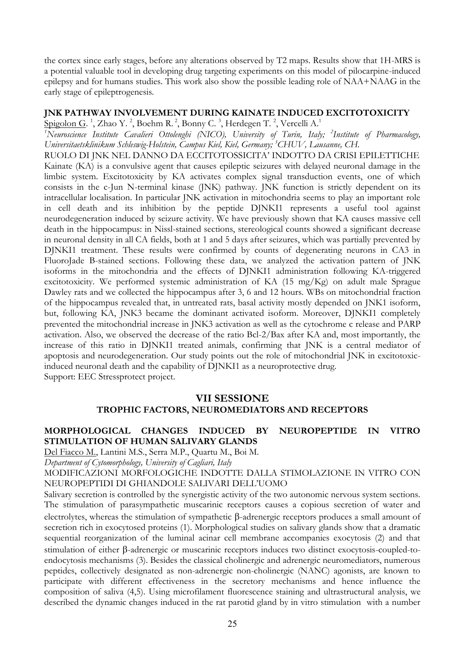the cortex since early stages, before any alterations observed by T2 maps. Results show that 1H-MRS is a potential valuable tool in developing drug targeting experiments on this model of pilocarpine-induced epilepsy and for humans studies. This work also show the possible leading role of NAA+NAAG in the early stage of epileptrogenesis.

### **JNK PATHWAY INVOLVEMENT DURING KAINATE INDUCED EXCITOTOXICITY**

Spigolon G.<sup>1</sup>, Zhao Y.<sup>2</sup>, Boehm R.<sup>2</sup>, Bonny C.<sup>3</sup>, Herdegen T.<sup>2</sup>, Vercelli A.<sup>1</sup>

*1 Neuroscience Institute Cavalieri Ottolenghi (NICO), University of Turin, Italy; 2 Institute of Pharmacology, Universitaetsklinikum Schleswig-Holstein, Campus Kiel, Kiel, Germany; 3 CHUV, Lausanne, CH.*

RUOLO DI JNK NEL DANNO DA ECCITOTOSSICITA" INDOTTO DA CRISI EPILETTICHE Kainate (KA) is a convulsive agent that causes epileptic seizures with delayed neuronal damage in the limbic system. Excitotoxicity by KA activates complex signal transduction events, one of which consists in the c-Jun N-terminal kinase (JNK) pathway. JNK function is strictly dependent on its intracellular localisation. In particular JNK activation in mitochondria seems to play an important role in cell death and its inhibition by the peptide DJNKI1 represents a useful tool against neurodegeneration induced by seizure activity. We have previously shown that KA causes massive cell death in the hippocampus: in Nissl-stained sections, stereological counts showed a significant decrease in neuronal density in all CA fields, both at 1 and 5 days after seizures, which was partially prevented by DJNKI1 treatment. These results were confirmed by counts of degenerating neurons in CA3 in FluoroJade B-stained sections. Following these data, we analyzed the activation pattern of JNK isoforms in the mitochondria and the effects of DJNKI1 administration following KA-triggered excitotoxicity. We performed systemic administration of KA (15 mg/Kg) on adult male Sprague Dawley rats and we collected the hippocampus after 3, 6 and 12 hours. WBs on mitochondrial fraction of the hippocampus revealed that, in untreated rats, basal activity mostly depended on JNK1 isoform, but, following KA, JNK3 became the dominant activated isoform. Moreover, DJNKI1 completely prevented the mitochondrial increase in JNK3 activation as well as the cytochrome c release and PARP activation. Also, we observed the decrease of the ratio Bcl-2/Bax after KA and, most importantly, the increase of this ratio in DJNKI1 treated animals, confirming that JNK is a central mediator of apoptosis and neurodegeneration. Our study points out the role of mitochondrial JNK in excitotoxicinduced neuronal death and the capability of DJNKI1 as a neuroprotective drug. Support: EEC Stressprotect project.

# **VII SESSIONE TROPHIC FACTORS, NEUROMEDIATORS AND RECEPTORS**

# **MORPHOLOGICAL CHANGES INDUCED BY NEUROPEPTIDE IN VITRO STIMULATION OF HUMAN SALIVARY GLANDS**

Del Fiacco M., Lantini M.S., Serra M.P., Quartu M., Boi M.

*Department of Cytomorphology, University of Cagliari, Italy*

MODIFICAZIONI MORFOLOGICHE INDOTTE DALLA STIMOLAZIONE IN VITRO CON NEUROPEPTIDI DI GHIANDOLE SALIVARI DELL"UOMO

Salivary secretion is controlled by the synergistic activity of the two autonomic nervous system sections. The stimulation of parasympathetic muscarinic receptors causes a copious secretion of water and electrolytes, whereas the stimulation of sympathetic  $\beta$ -adrenergic receptors produces a small amount of secretion rich in exocytosed proteins (1). Morphological studies on salivary glands show that a dramatic sequential reorganization of the luminal acinar cell membrane accompanies exocytosis (2) and that stimulation of either  $\beta$ -adrenergic or muscarinic receptors induces two distinct exocytosis-coupled-toendocytosis mechanisms (3). Besides the classical cholinergic and adrenergic neuromediators, numerous peptides, collectively designated as non-adrenergic non-cholinergic (NANC) agonists, are known to participate with different effectiveness in the secretory mechanisms and hence influence the composition of saliva (4,5). Using microfilament fluorescence staining and ultrastructural analysis, we described the dynamic changes induced in the rat parotid gland by in vitro stimulation with a number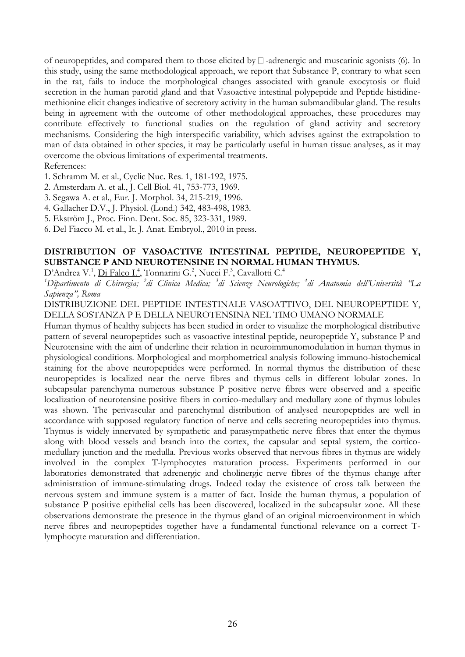of neuropeptides, and compared them to those elicited by  $\Box$  -adrenergic and muscarinic agonists (6). In this study, using the same methodological approach, we report that Substance P, contrary to what seen in the rat, fails to induce the morphological changes associated with granule exocytosis or fluid secretion in the human parotid gland and that Vasoactive intestinal polypeptide and Peptide histidinemethionine elicit changes indicative of secretory activity in the human submandibular gland. The results being in agreement with the outcome of other methodological approaches, these procedures may contribute effectively to functional studies on the regulation of gland activity and secretory mechanisms. Considering the high interspecific variability, which advises against the extrapolation to man of data obtained in other species, it may be particularly useful in human tissue analyses, as it may overcome the obvious limitations of experimental treatments.

## References:

- 1. Schramm M. et al., Cyclic Nuc. Res. 1, 181-192, 1975.
- 2. Amsterdam A. et al., J. Cell Biol. 41, 753-773, 1969.
- 3. Segawa A. et al., Eur. J. Morphol. 34, 215-219, 1996.
- 4. Gallacher D.V., J. Physiol. (Lond.) 342, 483-498, 1983.
- 5. Ekström J., Proc. Finn. Dent. Soc. 85, 323-331, 1989.
- 6. Del Fiacco M. et al., It. J. Anat. Embryol., 2010 in press.

# **DISTRIBUTION OF VASOACTIVE INTESTINAL PEPTIDE, NEUROPEPTIDE Y, SUBSTANCE P AND NEUROTENSINE IN NORMAL HUMAN THYMUS.**

D'Andrea V.<sup>1</sup>, Di Falco I.<sup>4</sup>, Tonnarini G.<sup>2</sup>, Nucci F.<sup>3</sup>, Cavallotti C.<sup>4</sup>

*1 Dipartimento di Chirurgia; 2 di Clinica Medica; 3 di Scienze Neurologiche; 4 di Anatomia dell'Università "La Sapienza", Roma*

DISTRIBUZIONE DEL PEPTIDE INTESTINALE VASOATTIVO, DEL NEUROPEPTIDE Y, DELLA SOSTANZA P E DELLA NEUROTENSINA NEL TIMO UMANO NORMALE

Human thymus of healthy subjects has been studied in order to visualize the morphological distributive pattern of several neuropeptides such as vasoactive intestinal peptide, neuropeptide Y, substance P and Neurotensine with the aim of underline their relation in neuroimmunomodulation in human thymus in physiological conditions. Morphological and morphometrical analysis following immuno-histochemical staining for the above neuropeptides were performed. In normal thymus the distribution of these neuropeptides is localized near the nerve fibres and thymus cells in different lobular zones. In subcapsular parenchyma numerous substance P positive nerve fibres were observed and a specific localization of neurotensine positive fibers in cortico-medullary and medullary zone of thymus lobules was shown. The perivascular and parenchymal distribution of analysed neuropeptides are well in accordance with supposed regulatory function of nerve and cells secreting neuropeptides into thymus. Thymus is widely innervated by sympathetic and parasympathetic nerve fibres that enter the thymus along with blood vessels and branch into the cortex, the capsular and septal system, the corticomedullary junction and the medulla. Previous works observed that nervous fibres in thymus are widely involved in the complex T-lymphocytes maturation process. Experiments performed in our laboratories demonstrated that adrenergic and cholinergic nerve fibres of the thymus change after administration of immune-stimulating drugs. Indeed today the existence of cross talk between the nervous system and immune system is a matter of fact. Inside the human thymus, a population of substance P positive epithelial cells has been discovered, localized in the subcapsular zone. All these observations demonstrate the presence in the thymus gland of an original microenvironment in which nerve fibres and neuropeptides together have a fundamental functional relevance on a correct Tlymphocyte maturation and differentiation.